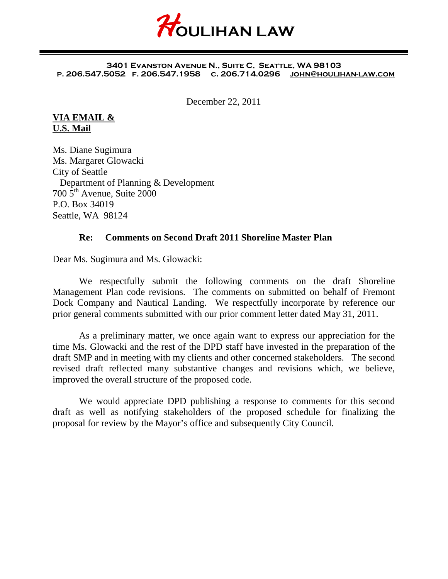

#### **3401 Evanston Avenue N., Suite C, Seattle, WA 98103 p. 206.547.5052 f. 206.547.1958 c. 206.714.0296 [john@houlihan-law.com](mailto:john@houlihan-law.com)**

December 22, 2011

#### **VIA EMAIL & U.S. Mail**

Ms. Diane Sugimura Ms. Margaret Glowacki City of Seattle Department of Planning & Development  $700\,\overline{5}$ <sup>th</sup> Avenue, Suite 2000 P.O. Box 34019 Seattle, WA 98124

#### **Re: Comments on Second Draft 2011 Shoreline Master Plan**

Dear Ms. Sugimura and Ms. Glowacki:

We respectfully submit the following comments on the draft Shoreline Management Plan code revisions. The comments on submitted on behalf of Fremont Dock Company and Nautical Landing. We respectfully incorporate by reference our prior general comments submitted with our prior comment letter dated May 31, 2011.

As a preliminary matter, we once again want to express our appreciation for the time Ms. Glowacki and the rest of the DPD staff have invested in the preparation of the draft SMP and in meeting with my clients and other concerned stakeholders. The second revised draft reflected many substantive changes and revisions which, we believe, improved the overall structure of the proposed code.

We would appreciate DPD publishing a response to comments for this second draft as well as notifying stakeholders of the proposed schedule for finalizing the proposal for review by the Mayor's office and subsequently City Council.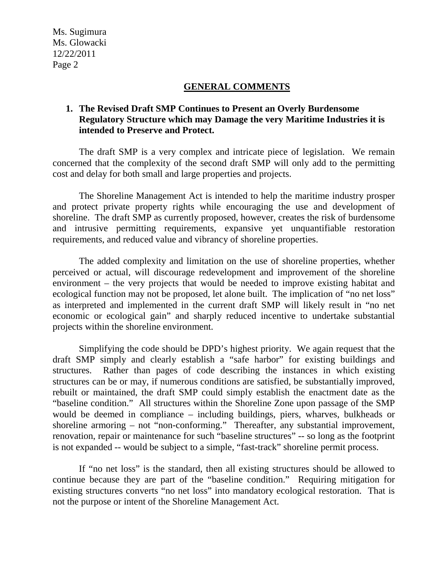#### **GENERAL COMMENTS**

### **1. The Revised Draft SMP Continues to Present an Overly Burdensome Regulatory Structure which may Damage the very Maritime Industries it is intended to Preserve and Protect.**

The draft SMP is a very complex and intricate piece of legislation. We remain concerned that the complexity of the second draft SMP will only add to the permitting cost and delay for both small and large properties and projects.

The Shoreline Management Act is intended to help the maritime industry prosper and protect private property rights while encouraging the use and development of shoreline. The draft SMP as currently proposed, however, creates the risk of burdensome and intrusive permitting requirements, expansive yet unquantifiable restoration requirements, and reduced value and vibrancy of shoreline properties.

The added complexity and limitation on the use of shoreline properties, whether perceived or actual, will discourage redevelopment and improvement of the shoreline environment – the very projects that would be needed to improve existing habitat and ecological function may not be proposed, let alone built. The implication of "no net loss" as interpreted and implemented in the current draft SMP will likely result in "no net economic or ecological gain" and sharply reduced incentive to undertake substantial projects within the shoreline environment.

Simplifying the code should be DPD's highest priority. We again request that the draft SMP simply and clearly establish a "safe harbor" for existing buildings and structures. Rather than pages of code describing the instances in which existing structures can be or may, if numerous conditions are satisfied, be substantially improved, rebuilt or maintained, the draft SMP could simply establish the enactment date as the "baseline condition." All structures within the Shoreline Zone upon passage of the SMP would be deemed in compliance – including buildings, piers, wharves, bulkheads or shoreline armoring – not "non-conforming." Thereafter, any substantial improvement, renovation, repair or maintenance for such "baseline structures" -- so long as the footprint is not expanded -- would be subject to a simple, "fast-track" shoreline permit process.

If "no net loss" is the standard, then all existing structures should be allowed to continue because they are part of the "baseline condition." Requiring mitigation for existing structures converts "no net loss" into mandatory ecological restoration. That is not the purpose or intent of the Shoreline Management Act.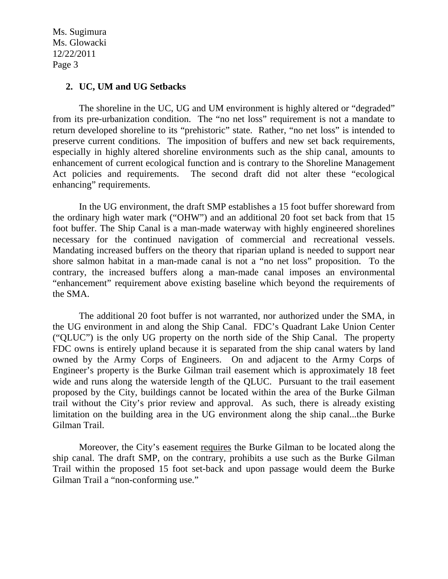#### **2. UC, UM and UG Setbacks**

The shoreline in the UC, UG and UM environment is highly altered or "degraded" from its pre-urbanization condition. The "no net loss" requirement is not a mandate to return developed shoreline to its "prehistoric" state. Rather, "no net loss" is intended to preserve current conditions. The imposition of buffers and new set back requirements, especially in highly altered shoreline environments such as the ship canal, amounts to enhancement of current ecological function and is contrary to the Shoreline Management Act policies and requirements. The second draft did not alter these "ecological enhancing" requirements.

In the UG environment, the draft SMP establishes a 15 foot buffer shoreward from the ordinary high water mark ("OHW") and an additional 20 foot set back from that 15 foot buffer. The Ship Canal is a man-made waterway with highly engineered shorelines necessary for the continued navigation of commercial and recreational vessels. Mandating increased buffers on the theory that riparian upland is needed to support near shore salmon habitat in a man-made canal is not a "no net loss" proposition. To the contrary, the increased buffers along a man-made canal imposes an environmental "enhancement" requirement above existing baseline which beyond the requirements of the SMA.

The additional 20 foot buffer is not warranted, nor authorized under the SMA, in the UG environment in and along the Ship Canal. FDC's Quadrant Lake Union Center ("QLUC") is the only UG property on the north side of the Ship Canal. The property FDC owns is entirely upland because it is separated from the ship canal waters by land owned by the Army Corps of Engineers. On and adjacent to the Army Corps of Engineer's property is the Burke Gilman trail easement which is approximately 18 feet wide and runs along the waterside length of the QLUC. Pursuant to the trail easement proposed by the City, buildings cannot be located within the area of the Burke Gilman trail without the City's prior review and approval. As such, there is already existing limitation on the building area in the UG environment along the ship canal...the Burke Gilman Trail.

Moreover, the City's easement requires the Burke Gilman to be located along the ship canal. The draft SMP, on the contrary, prohibits a use such as the Burke Gilman Trail within the proposed 15 foot set-back and upon passage would deem the Burke Gilman Trail a "non-conforming use."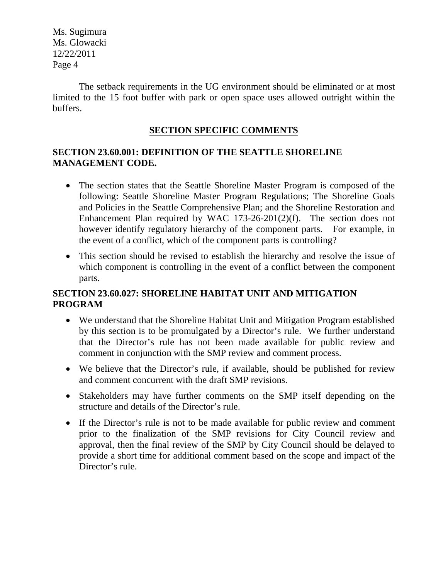The setback requirements in the UG environment should be eliminated or at most limited to the 15 foot buffer with park or open space uses allowed outright within the buffers.

### **SECTION SPECIFIC COMMENTS**

## **SECTION 23.60.001: DEFINITION OF THE SEATTLE SHORELINE MANAGEMENT CODE.**

- The section states that the Seattle Shoreline Master Program is composed of the following: Seattle Shoreline Master Program Regulations; The Shoreline Goals and Policies in the Seattle Comprehensive Plan; and the Shoreline Restoration and Enhancement Plan required by WAC 173-26-201(2)(f). The section does not however identify regulatory hierarchy of the component parts. For example, in the event of a conflict, which of the component parts is controlling?
- This section should be revised to establish the hierarchy and resolve the issue of which component is controlling in the event of a conflict between the component parts.

## **SECTION 23.60.027: SHORELINE HABITAT UNIT AND MITIGATION PROGRAM**

- We understand that the Shoreline Habitat Unit and Mitigation Program established by this section is to be promulgated by a Director's rule. We further understand that the Director's rule has not been made available for public review and comment in conjunction with the SMP review and comment process.
- We believe that the Director's rule, if available, should be published for review and comment concurrent with the draft SMP revisions.
- Stakeholders may have further comments on the SMP itself depending on the structure and details of the Director's rule.
- If the Director's rule is not to be made available for public review and comment prior to the finalization of the SMP revisions for City Council review and approval, then the final review of the SMP by City Council should be delayed to provide a short time for additional comment based on the scope and impact of the Director's rule.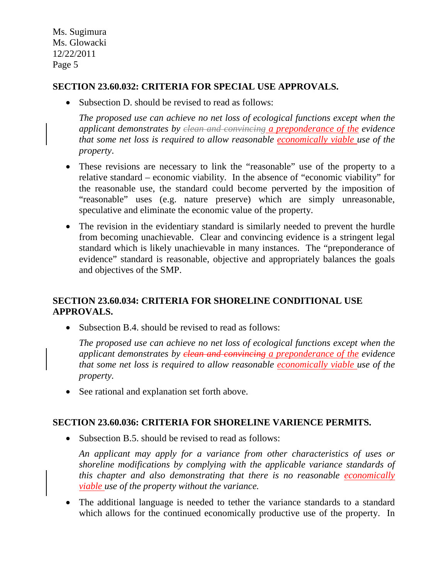### **SECTION 23.60.032: CRITERIA FOR SPECIAL USE APPROVALS.**

• Subsection D, should be revised to read as follows:

*The proposed use can achieve no net loss of ecological functions except when the applicant demonstrates by clean and convincing a preponderance of the evidence that some net loss is required to allow reasonable economically viable use of the property*.

- These revisions are necessary to link the "reasonable" use of the property to a relative standard – economic viability. In the absence of "economic viability" for the reasonable use, the standard could become perverted by the imposition of "reasonable" uses (e.g. nature preserve) which are simply unreasonable, speculative and eliminate the economic value of the property.
- The revision in the evidentiary standard is similarly needed to prevent the hurdle from becoming unachievable. Clear and convincing evidence is a stringent legal standard which is likely unachievable in many instances. The "preponderance of evidence" standard is reasonable, objective and appropriately balances the goals and objectives of the SMP.

## **SECTION 23.60.034: CRITERIA FOR SHORELINE CONDITIONAL USE APPROVALS.**

• Subsection B.4. should be revised to read as follows:

*The proposed use can achieve no net loss of ecological functions except when the applicant demonstrates by clean and convincing a preponderance of the evidence that some net loss is required to allow reasonable economically viable use of the property.* 

• See rational and explanation set forth above.

### **SECTION 23.60.036: CRITERIA FOR SHORELINE VARIENCE PERMITS.**

• Subsection B.5. should be revised to read as follows:

*An applicant may apply for a variance from other characteristics of uses or shoreline modifications by complying with the applicable variance standards of this chapter and also demonstrating that there is no reasonable economically viable use of the property without the variance.* 

• The additional language is needed to tether the variance standards to a standard which allows for the continued economically productive use of the property. In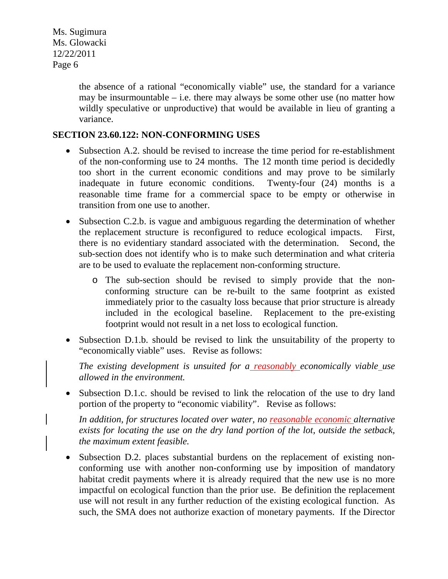> the absence of a rational "economically viable" use, the standard for a variance may be insurmountable  $-$  i.e. there may always be some other use (no matter how wildly speculative or unproductive) that would be available in lieu of granting a variance.

### **SECTION 23.60.122: NON-CONFORMING USES**

- Subsection A.2. should be revised to increase the time period for re-establishment of the non-conforming use to 24 months. The 12 month time period is decidedly too short in the current economic conditions and may prove to be similarly inadequate in future economic conditions. Twenty-four (24) months is a reasonable time frame for a commercial space to be empty or otherwise in transition from one use to another.
- Subsection C.2.b. is vague and ambiguous regarding the determination of whether the replacement structure is reconfigured to reduce ecological impacts. First, there is no evidentiary standard associated with the determination. Second, the sub-section does not identify who is to make such determination and what criteria are to be used to evaluate the replacement non-conforming structure.
	- o The sub-section should be revised to simply provide that the nonconforming structure can be re-built to the same footprint as existed immediately prior to the casualty loss because that prior structure is already included in the ecological baseline. Replacement to the pre-existing footprint would not result in a net loss to ecological function.
- Subsection D.1.b. should be revised to link the unsuitability of the property to "economically viable" uses. Revise as follows:

*The existing development is unsuited for a reasonably economically viable use allowed in the environment.*

• Subsection D.1.c. should be revised to link the relocation of the use to dry land portion of the property to "economic viability". Revise as follows:

*In addition, for structures located over water, no reasonable economic alternative exists for locating the use on the dry land portion of the lot, outside the setback, the maximum extent feasible.* 

• Subsection D.2. places substantial burdens on the replacement of existing nonconforming use with another non-conforming use by imposition of mandatory habitat credit payments where it is already required that the new use is no more impactful on ecological function than the prior use. Be definition the replacement use will not result in any further reduction of the existing ecological function. As such, the SMA does not authorize exaction of monetary payments. If the Director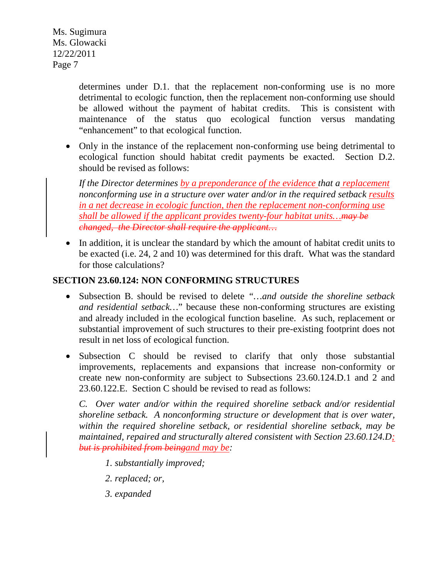> determines under D.1. that the replacement non-conforming use is no more detrimental to ecologic function, then the replacement non-conforming use should be allowed without the payment of habitat credits. This is consistent with maintenance of the status quo ecological function versus mandating "enhancement" to that ecological function.

• Only in the instance of the replacement non-conforming use being detrimental to ecological function should habitat credit payments be exacted. Section D.2. should be revised as follows:

*If the Director determines by a preponderance of the evidence that a replacement nonconforming use in a structure over water and/or in the required setback results in a net decrease in ecologic function, then the replacement non-conforming use shall be allowed if the applicant provides twenty-four habitat units…may be changed, the Director shall require the applicant…*

• In addition, it is unclear the standard by which the amount of habitat credit units to be exacted (i.e. 24, 2 and 10) was determined for this draft. What was the standard for those calculations?

### **SECTION 23.60.124: NON CONFORMING STRUCTURES**

- Subsection B. should be revised to delete *"…and outside the shoreline setback and residential setback…*" because these non-conforming structures are existing and already included in the ecological function baseline. As such, replacement or substantial improvement of such structures to their pre-existing footprint does not result in net loss of ecological function.
- Subsection C should be revised to clarify that only those substantial improvements, replacements and expansions that increase non-conformity or create new non-conformity are subject to Subsections 23.60.124.D.1 and 2 and 23.60.122.E. Section C should be revised to read as follows:

*C. Over water and/or within the required shoreline setback and/or residential shoreline setback. A nonconforming structure or development that is over water, within the required shoreline setback, or residential shoreline setback, may be maintained, repaired and structurally altered consistent with Section 23.60.124.D; but is prohibited from beingand may be:*

- *1. substantially improved;*
- *2. replaced; or,*
- *3. expanded*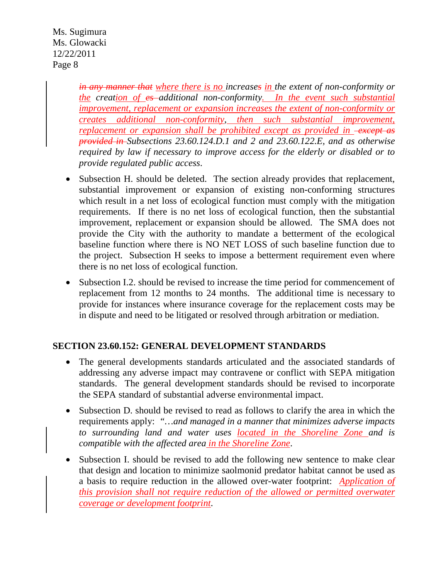> *in any manner that where there is no increases in the extent of non-conformity or the creation of es*-additional non-conformity. In the event such substantial *improvement, replacement or expansion increases the extent of non-conformity or creates additional non-conformity, then such substantial improvement, replacement or expansion shall be prohibited except as provided in -except as provided in Subsections 23.60.124.D.1 and 2 and 23.60.122.E, and as otherwise required by law if necessary to improve access for the elderly or disabled or to provide regulated public access*.

- Subsection H. should be deleted. The section already provides that replacement, substantial improvement or expansion of existing non-conforming structures which result in a net loss of ecological function must comply with the mitigation requirements. If there is no net loss of ecological function, then the substantial improvement, replacement or expansion should be allowed. The SMA does not provide the City with the authority to mandate a betterment of the ecological baseline function where there is NO NET LOSS of such baseline function due to the project. Subsection H seeks to impose a betterment requirement even where there is no net loss of ecological function.
- Subsection I.2. should be revised to increase the time period for commencement of replacement from 12 months to 24 months. The additional time is necessary to provide for instances where insurance coverage for the replacement costs may be in dispute and need to be litigated or resolved through arbitration or mediation.

# **SECTION 23.60.152: GENERAL DEVELOPMENT STANDARDS**

- The general developments standards articulated and the associated standards of addressing any adverse impact may contravene or conflict with SEPA mitigation standards. The general development standards should be revised to incorporate the SEPA standard of substantial adverse environmental impact.
- Subsection D. should be revised to read as follows to clarify the area in which the requirements apply: *"…and managed in a manner that minimizes adverse impacts to surrounding land and water uses located in the Shoreline Zone and is compatible with the affected area in the Shoreline Zone*.
- Subsection I. should be revised to add the following new sentence to make clear that design and location to minimize saolmonid predator habitat cannot be used as a basis to require reduction in the allowed over-water footprint: *Application of this provision shall not require reduction of the allowed or permitted overwater coverage or development footprint*.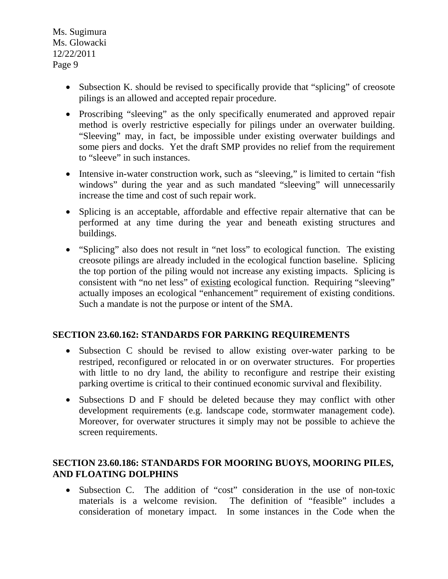- Subsection K. should be revised to specifically provide that "splicing" of creosote pilings is an allowed and accepted repair procedure.
- Proscribing "sleeving" as the only specifically enumerated and approved repair method is overly restrictive especially for pilings under an overwater building. "Sleeving" may, in fact, be impossible under existing overwater buildings and some piers and docks. Yet the draft SMP provides no relief from the requirement to "sleeve" in such instances.
- Intensive in-water construction work, such as "sleeving," is limited to certain "fish" windows" during the year and as such mandated "sleeving" will unnecessarily increase the time and cost of such repair work.
- Splicing is an acceptable, affordable and effective repair alternative that can be performed at any time during the year and beneath existing structures and buildings.
- "Splicing" also does not result in "net loss" to ecological function. The existing creosote pilings are already included in the ecological function baseline. Splicing the top portion of the piling would not increase any existing impacts. Splicing is consistent with "no net less" of existing ecological function. Requiring "sleeving" actually imposes an ecological "enhancement" requirement of existing conditions. Such a mandate is not the purpose or intent of the SMA.

# **SECTION 23.60.162: STANDARDS FOR PARKING REQUIREMENTS**

- Subsection C should be revised to allow existing over-water parking to be restriped, reconfigured or relocated in or on overwater structures. For properties with little to no dry land, the ability to reconfigure and restripe their existing parking overtime is critical to their continued economic survival and flexibility.
- Subsections D and F should be deleted because they may conflict with other development requirements (e.g. landscape code, stormwater management code). Moreover, for overwater structures it simply may not be possible to achieve the screen requirements.

## **SECTION 23.60.186: STANDARDS FOR MOORING BUOYS, MOORING PILES, AND FLOATING DOLPHINS**

• Subsection C. The addition of "cost" consideration in the use of non-toxic materials is a welcome revision. The definition of "feasible" includes a consideration of monetary impact. In some instances in the Code when the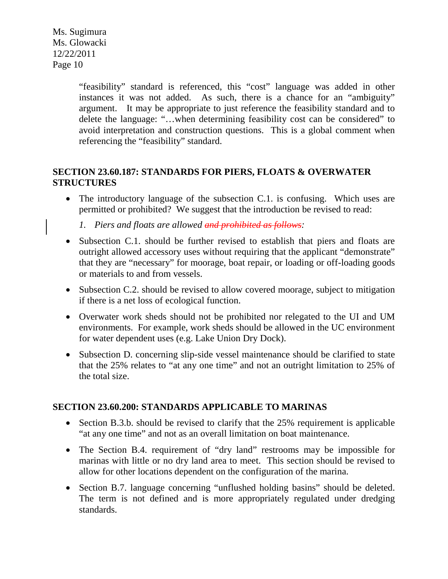> "feasibility" standard is referenced, this "cost" language was added in other instances it was not added. As such, there is a chance for an "ambiguity" argument. It may be appropriate to just reference the feasibility standard and to delete the language: "…when determining feasibility cost can be considered" to avoid interpretation and construction questions. This is a global comment when referencing the "feasibility" standard.

### **SECTION 23.60.187: STANDARDS FOR PIERS, FLOATS & OVERWATER STRUCTURES**

• The introductory language of the subsection C.1. is confusing. Which uses are permitted or prohibited? We suggest that the introduction be revised to read:

*1. Piers and floats are allowed and prohibited as follows:*

- Subsection C.1. should be further revised to establish that piers and floats are outright allowed accessory uses without requiring that the applicant "demonstrate" that they are "necessary" for moorage, boat repair, or loading or off-loading goods or materials to and from vessels.
- Subsection C.2. should be revised to allow covered moorage, subject to mitigation if there is a net loss of ecological function.
- Overwater work sheds should not be prohibited nor relegated to the UI and UM environments. For example, work sheds should be allowed in the UC environment for water dependent uses (e.g. Lake Union Dry Dock).
- Subsection D. concerning slip-side vessel maintenance should be clarified to state that the 25% relates to "at any one time" and not an outright limitation to 25% of the total size.

### **SECTION 23.60.200: STANDARDS APPLICABLE TO MARINAS**

- Section B.3.b. should be revised to clarify that the 25% requirement is applicable "at any one time" and not as an overall limitation on boat maintenance.
- The Section B.4. requirement of "dry land" restrooms may be impossible for marinas with little or no dry land area to meet. This section should be revised to allow for other locations dependent on the configuration of the marina.
- Section B.7. language concerning "unflushed holding basins" should be deleted. The term is not defined and is more appropriately regulated under dredging standards.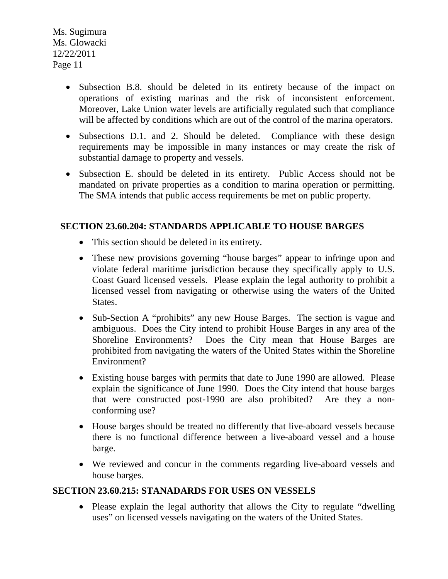- Subsection B.8. should be deleted in its entirety because of the impact on operations of existing marinas and the risk of inconsistent enforcement. Moreover, Lake Union water levels are artificially regulated such that compliance will be affected by conditions which are out of the control of the marina operators.
- Subsections D.1. and 2. Should be deleted. Compliance with these design requirements may be impossible in many instances or may create the risk of substantial damage to property and vessels.
- Subsection E. should be deleted in its entirety. Public Access should not be mandated on private properties as a condition to marina operation or permitting. The SMA intends that public access requirements be met on public property.

## **SECTION 23.60.204: STANDARDS APPLICABLE TO HOUSE BARGES**

- This section should be deleted in its entirety.
- These new provisions governing "house barges" appear to infringe upon and violate federal maritime jurisdiction because they specifically apply to U.S. Coast Guard licensed vessels. Please explain the legal authority to prohibit a licensed vessel from navigating or otherwise using the waters of the United States.
- Sub-Section A "prohibits" any new House Barges. The section is vague and ambiguous. Does the City intend to prohibit House Barges in any area of the Shoreline Environments? Does the City mean that House Barges are prohibited from navigating the waters of the United States within the Shoreline Environment?
- Existing house barges with permits that date to June 1990 are allowed. Please explain the significance of June 1990. Does the City intend that house barges that were constructed post-1990 are also prohibited? Are they a nonconforming use?
- House barges should be treated no differently that live-aboard vessels because there is no functional difference between a live-aboard vessel and a house barge.
- We reviewed and concur in the comments regarding live-aboard vessels and house barges.

### **SECTION 23.60.215: STANADARDS FOR USES ON VESSELS**

• Please explain the legal authority that allows the City to regulate "dwelling" uses" on licensed vessels navigating on the waters of the United States.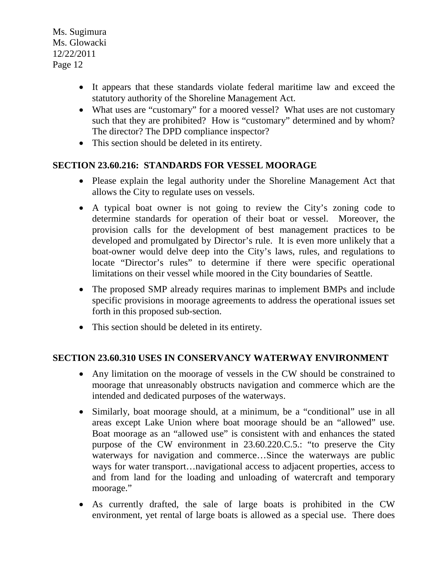- It appears that these standards violate federal maritime law and exceed the statutory authority of the Shoreline Management Act.
- What uses are "customary" for a moored vessel? What uses are not customary such that they are prohibited? How is "customary" determined and by whom? The director? The DPD compliance inspector?
- This section should be deleted in its entirety.

## **SECTION 23.60.216: STANDARDS FOR VESSEL MOORAGE**

- Please explain the legal authority under the Shoreline Management Act that allows the City to regulate uses on vessels.
- A typical boat owner is not going to review the City's zoning code to determine standards for operation of their boat or vessel. Moreover, the provision calls for the development of best management practices to be developed and promulgated by Director's rule. It is even more unlikely that a boat-owner would delve deep into the City's laws, rules, and regulations to locate "Director's rules" to determine if there were specific operational limitations on their vessel while moored in the City boundaries of Seattle.
- The proposed SMP already requires marinas to implement BMPs and include specific provisions in moorage agreements to address the operational issues set forth in this proposed sub-section.
- This section should be deleted in its entirety.

### **SECTION 23.60.310 USES IN CONSERVANCY WATERWAY ENVIRONMENT**

- Any limitation on the moorage of vessels in the CW should be constrained to moorage that unreasonably obstructs navigation and commerce which are the intended and dedicated purposes of the waterways.
- Similarly, boat moorage should, at a minimum, be a "conditional" use in all areas except Lake Union where boat moorage should be an "allowed" use. Boat moorage as an "allowed use" is consistent with and enhances the stated purpose of the CW environment in 23.60.220.C.5.: "to preserve the City waterways for navigation and commerce...Since the waterways are public ways for water transport…navigational access to adjacent properties, access to and from land for the loading and unloading of watercraft and temporary moorage."
- As currently drafted, the sale of large boats is prohibited in the CW environment, yet rental of large boats is allowed as a special use. There does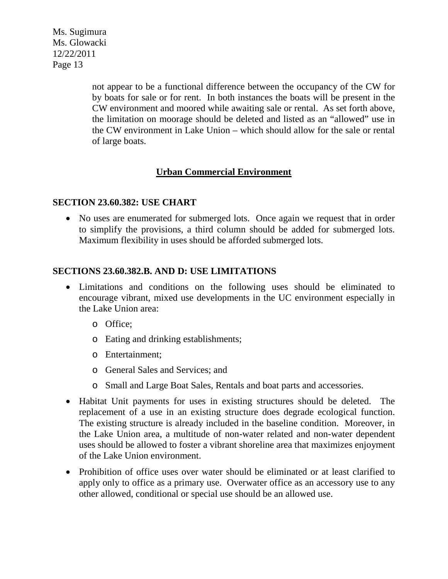> not appear to be a functional difference between the occupancy of the CW for by boats for sale or for rent. In both instances the boats will be present in the CW environment and moored while awaiting sale or rental. As set forth above, the limitation on moorage should be deleted and listed as an "allowed" use in the CW environment in Lake Union – which should allow for the sale or rental of large boats.

### **Urban Commercial Environment**

#### **SECTION 23.60.382: USE CHART**

• No uses are enumerated for submerged lots. Once again we request that in order to simplify the provisions, a third column should be added for submerged lots. Maximum flexibility in uses should be afforded submerged lots.

#### **SECTIONS 23.60.382.B. AND D: USE LIMITATIONS**

- Limitations and conditions on the following uses should be eliminated to encourage vibrant, mixed use developments in the UC environment especially in the Lake Union area:
	- o Office;
	- o Eating and drinking establishments;
	- o Entertainment;
	- o General Sales and Services; and
	- o Small and Large Boat Sales, Rentals and boat parts and accessories.
- Habitat Unit payments for uses in existing structures should be deleted. The replacement of a use in an existing structure does degrade ecological function. The existing structure is already included in the baseline condition. Moreover, in the Lake Union area, a multitude of non-water related and non-water dependent uses should be allowed to foster a vibrant shoreline area that maximizes enjoyment of the Lake Union environment.
- Prohibition of office uses over water should be eliminated or at least clarified to apply only to office as a primary use. Overwater office as an accessory use to any other allowed, conditional or special use should be an allowed use.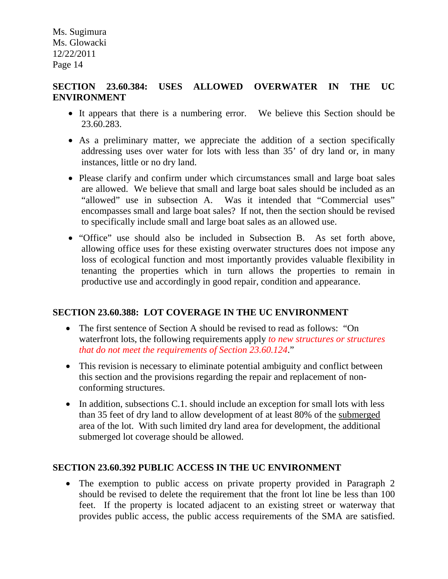### **SECTION 23.60.384: USES ALLOWED OVERWATER IN THE UC ENVIRONMENT**

- It appears that there is a numbering error. We believe this Section should be 23.60.283.
- As a preliminary matter, we appreciate the addition of a section specifically addressing uses over water for lots with less than 35' of dry land or, in many instances, little or no dry land.
- Please clarify and confirm under which circumstances small and large boat sales are allowed. We believe that small and large boat sales should be included as an "allowed" use in subsection A. Was it intended that "Commercial uses" encompasses small and large boat sales? If not, then the section should be revised to specifically include small and large boat sales as an allowed use.
- "Office" use should also be included in Subsection B. As set forth above, allowing office uses for these existing overwater structures does not impose any loss of ecological function and most importantly provides valuable flexibility in tenanting the properties which in turn allows the properties to remain in productive use and accordingly in good repair, condition and appearance.

### **SECTION 23.60.388: LOT COVERAGE IN THE UC ENVIRONMENT**

- The first sentence of Section A should be revised to read as follows: "On waterfront lots, the following requirements apply *to new structures or structures that do not meet the requirements of Section 23.60.124*."
- This revision is necessary to eliminate potential ambiguity and conflict between this section and the provisions regarding the repair and replacement of nonconforming structures.
- In addition, subsections C.1. should include an exception for small lots with less than 35 feet of dry land to allow development of at least 80% of the submerged area of the lot. With such limited dry land area for development, the additional submerged lot coverage should be allowed.

### **SECTION 23.60.392 PUBLIC ACCESS IN THE UC ENVIRONMENT**

• The exemption to public access on private property provided in Paragraph 2 should be revised to delete the requirement that the front lot line be less than 100 feet. If the property is located adjacent to an existing street or waterway that provides public access, the public access requirements of the SMA are satisfied.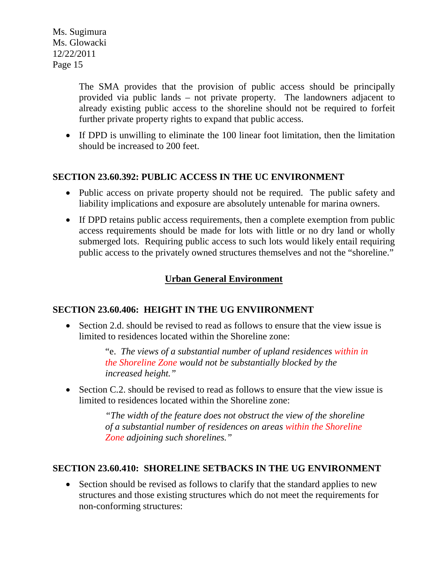> The SMA provides that the provision of public access should be principally provided via public lands – not private property. The landowners adjacent to already existing public access to the shoreline should not be required to forfeit further private property rights to expand that public access.

• If DPD is unwilling to eliminate the 100 linear foot limitation, then the limitation should be increased to 200 feet.

### **SECTION 23.60.392: PUBLIC ACCESS IN THE UC ENVIRONMENT**

- Public access on private property should not be required. The public safety and liability implications and exposure are absolutely untenable for marina owners.
- If DPD retains public access requirements, then a complete exemption from public access requirements should be made for lots with little or no dry land or wholly submerged lots. Requiring public access to such lots would likely entail requiring public access to the privately owned structures themselves and not the "shoreline."

# **Urban General Environment**

### **SECTION 23.60.406: HEIGHT IN THE UG ENVIIRONMENT**

• Section 2.d. should be revised to read as follows to ensure that the view issue is limited to residences located within the Shoreline zone:

> "e. *The views of a substantial number of upland residences within in the Shoreline Zone would not be substantially blocked by the increased height."*

• Section C.2. should be revised to read as follows to ensure that the view issue is limited to residences located within the Shoreline zone:

> *"The width of the feature does not obstruct the view of the shoreline of a substantial number of residences on areas within the Shoreline Zone adjoining such shorelines."*

### **SECTION 23.60.410: SHORELINE SETBACKS IN THE UG ENVIRONMENT**

• Section should be revised as follows to clarify that the standard applies to new structures and those existing structures which do not meet the requirements for non-conforming structures: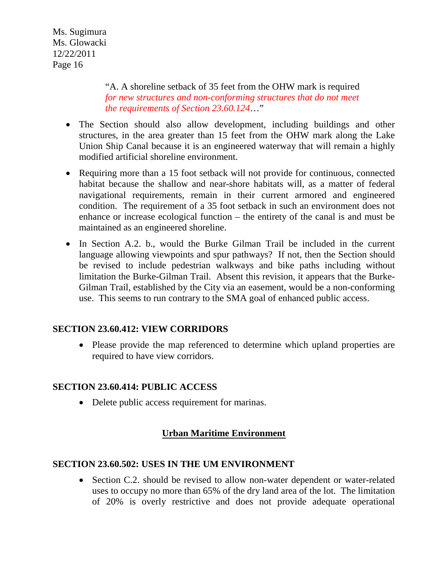> "A. A shoreline setback of 35 feet from the OHW mark is required *for new structures and non-conforming structures that do not meet the requirements of Section 23.60.124*…"

- The Section should also allow development, including buildings and other structures, in the area greater than 15 feet from the OHW mark along the Lake Union Ship Canal because it is an engineered waterway that will remain a highly modified artificial shoreline environment.
- Requiring more than a 15 foot setback will not provide for continuous, connected habitat because the shallow and near-shore habitats will, as a matter of federal navigational requirements, remain in their current armored and engineered condition. The requirement of a 35 foot setback in such an environment does not enhance or increase ecological function – the entirety of the canal is and must be maintained as an engineered shoreline.
- In Section A.2. b., would the Burke Gilman Trail be included in the current language allowing viewpoints and spur pathways? If not, then the Section should be revised to include pedestrian walkways and bike paths including without limitation the Burke-Gilman Trail. Absent this revision, it appears that the Burke-Gilman Trail, established by the City via an easement, would be a non-conforming use. This seems to run contrary to the SMA goal of enhanced public access.

### **SECTION 23.60.412: VIEW CORRIDORS**

• Please provide the map referenced to determine which upland properties are required to have view corridors.

#### **SECTION 23.60.414: PUBLIC ACCESS**

• Delete public access requirement for marinas.

### **Urban Maritime Environment**

#### **SECTION 23.60.502: USES IN THE UM ENVIRONMENT**

• Section C.2. should be revised to allow non-water dependent or water-related uses to occupy no more than 65% of the dry land area of the lot. The limitation of 20% is overly restrictive and does not provide adequate operational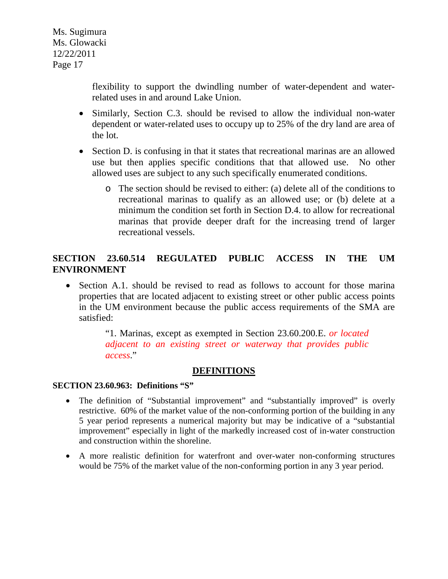> flexibility to support the dwindling number of water-dependent and waterrelated uses in and around Lake Union.

- Similarly, Section C.3. should be revised to allow the individual non-water dependent or water-related uses to occupy up to 25% of the dry land are area of the lot.
- Section D. is confusing in that it states that recreational marinas are an allowed use but then applies specific conditions that that allowed use. No other allowed uses are subject to any such specifically enumerated conditions.
	- o The section should be revised to either: (a) delete all of the conditions to recreational marinas to qualify as an allowed use; or (b) delete at a minimum the condition set forth in Section D.4. to allow for recreational marinas that provide deeper draft for the increasing trend of larger recreational vessels.

# **SECTION 23.60.514 REGULATED PUBLIC ACCESS IN THE UM ENVIRONMENT**

• Section A.1. should be revised to read as follows to account for those marina properties that are located adjacent to existing street or other public access points in the UM environment because the public access requirements of the SMA are satisfied:

> "1. Marinas, except as exempted in Section 23.60.200.E. *or located adjacent to an existing street or waterway that provides public access*."

#### **DEFINITIONS**

#### **SECTION 23.60.963: Definitions "S"**

- The definition of "Substantial improvement" and "substantially improved" is overly restrictive. 60% of the market value of the non-conforming portion of the building in any 5 year period represents a numerical majority but may be indicative of a "substantial improvement" especially in light of the markedly increased cost of in-water construction and construction within the shoreline.
- A more realistic definition for waterfront and over-water non-conforming structures would be 75% of the market value of the non-conforming portion in any 3 year period.